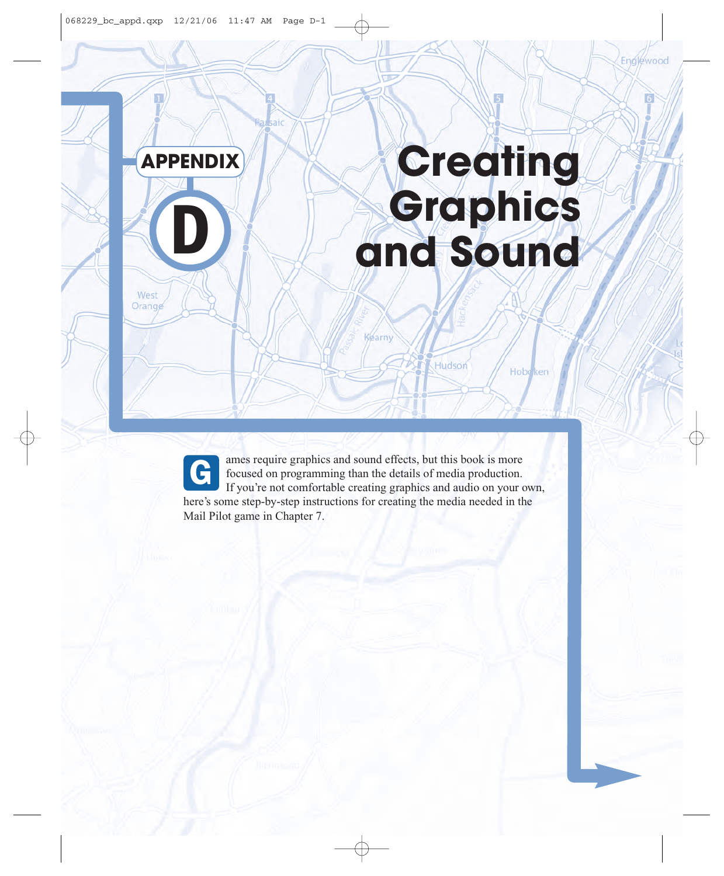

saic

# **Creating D D and Sound**

Hudson

Hobe ken

West Orange

> ames require graphics and sound effects, but this book is more focused on programming than the details of media production. If you're not comfortable creating graphics and audio on your own, here's some step-by-step instructions for creating the media needed in the Mail Pilot game in Chapter 7. G

**Vearny**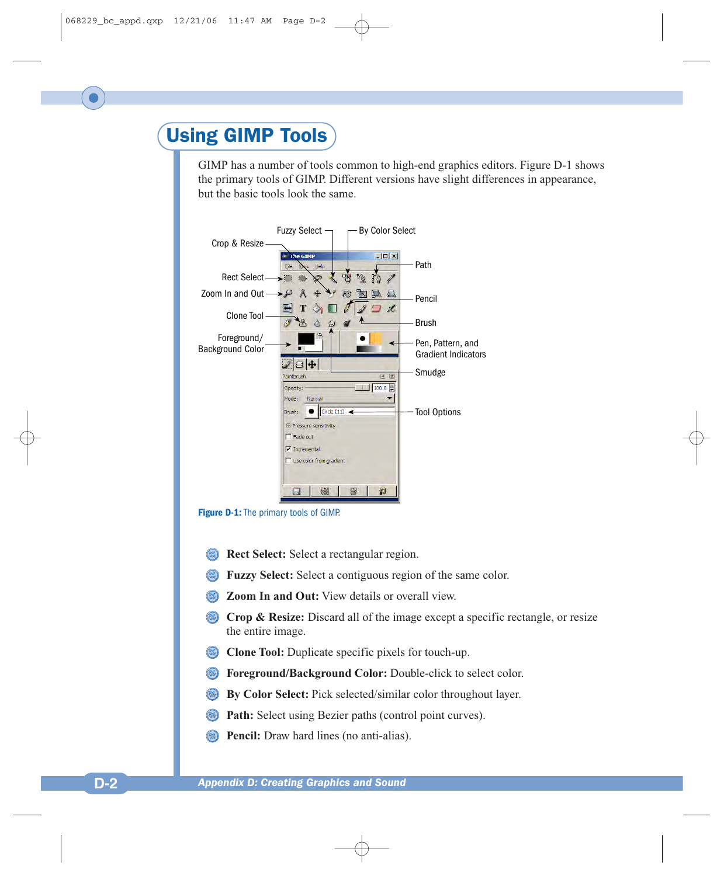# Using GIMP Tools

GIMP has a number of tools common to high-end graphics editors. Figure D-1 shows the primary tools of GIMP. Different versions have slight differences in appearance, but the basic tools look the same.





- **Rect Select:** Select a rectangular region.
- **Fuzzy Select:** Select a contiguous region of the same color.
- **Zoom In and Out:** View details or overall view.
- **Crop & Resize:** Discard all of the image except a specific rectangle, or resize the entire image.
- **Clone Tool:** Duplicate specific pixels for touch-up.
- **Foreground/Background Color:** Double-click to select color.
- **By Color Select:** Pick selected/similar color throughout layer.
- **Path:** Select using Bezier paths (control point curves).
- **Pencil:** Draw hard lines (no anti-alias).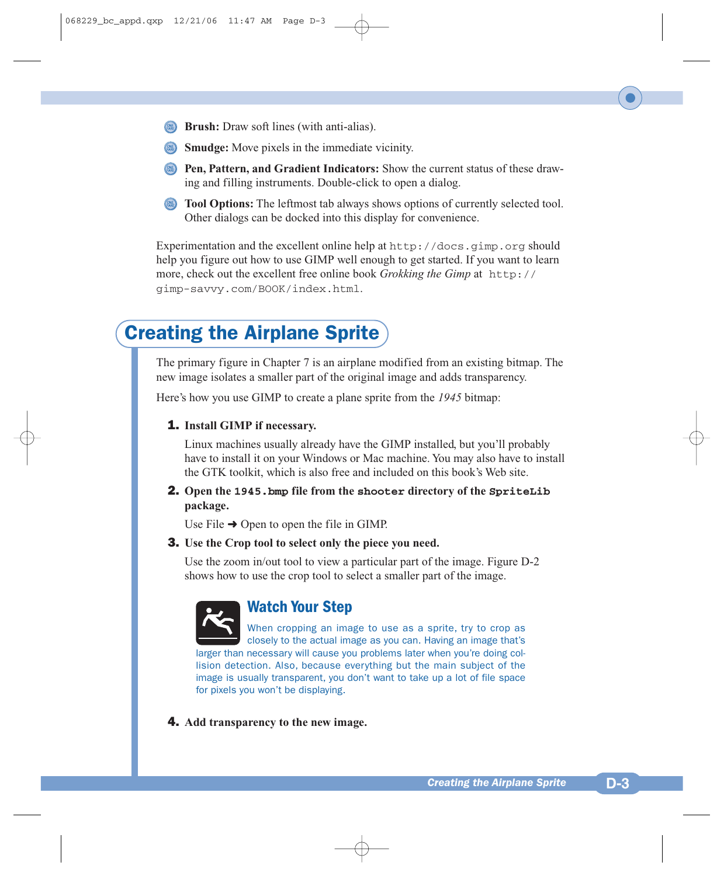- **Brush:** Draw soft lines (with anti-alias).
- **Smudge:** Move pixels in the immediate vicinity.
- **Pen, Pattern, and Gradient Indicators:** Show the current status of these drawing and filling instruments. Double-click to open a dialog.
- **Tool Options:** The leftmost tab always shows options of currently selected tool. Other dialogs can be docked into this display for convenience.

Experimentation and the excellent online help at  $http://docs.qimp.org should$ help you figure out how to use GIMP well enough to get started. If you want to learn more, check out the excellent free online book *Grokking the Gimp* at http:// gimp-savvy.com/BOOK/index.html.

# Creating the Airplane Sprite

The primary figure in Chapter 7 is an airplane modified from an existing bitmap. The new image isolates a smaller part of the original image and adds transparency.

Here's how you use GIMP to create a plane sprite from the *1945* bitmap:

#### 1. **Install GIMP if necessary.**

Linux machines usually already have the GIMP installed, but you'll probably have to install it on your Windows or Mac machine. You may also have to install the GTK toolkit, which is also free and included on this book's Web site.

#### 2. **Open the 1945.bmp file from the shooter directory of the SpriteLib package.**

Use File  $\rightarrow$  Open to open the file in GIMP.

#### 3. **Use the Crop tool to select only the piece you need.**

Use the zoom in/out tool to view a particular part of the image. Figure D-2 shows how to use the crop tool to select a smaller part of the image.



### **Watch Your Step**

When cropping an image to use as a sprite, try to crop as closely to the actual image as you can. Having an image that's larger than necessary will cause you problems later when you're doing collision detection. Also, because everything but the main subject of the image is usually transparent, you don't want to take up a lot of file space for pixels you won't be displaying.

4. **Add transparency to the new image.**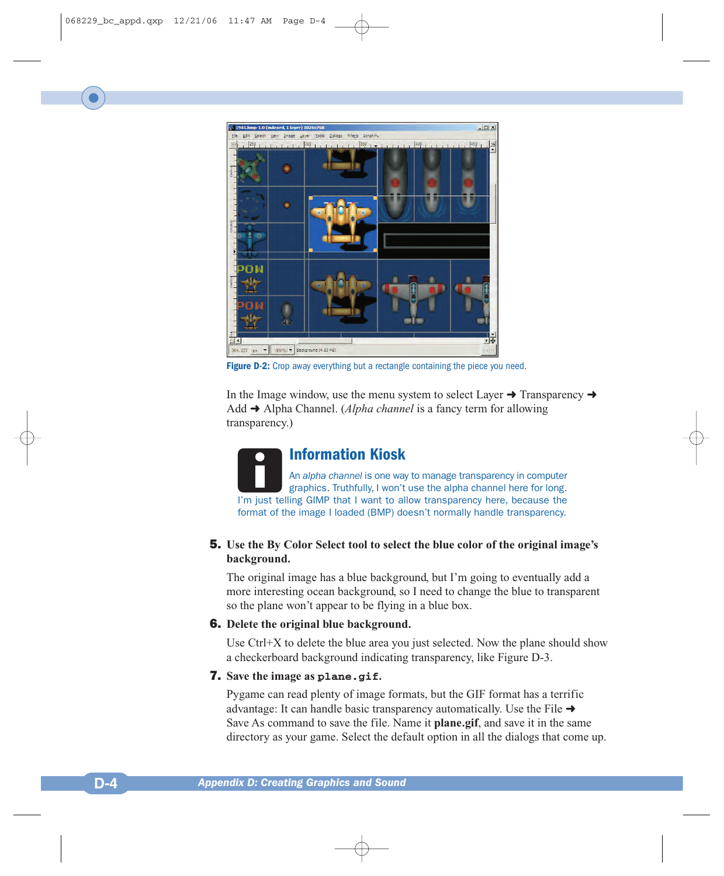

**Figure D-2:** Crop away everything but a rectangle containing the piece you need.

In the Image window, use the menu system to select Layer  $\rightarrow$  Transparency  $\rightarrow$ Add ➜ Alpha Channel. (*Alpha channel* is a fancy term for allowing transparency.)

**Information Kiosk** An *alpha channel* is one way to manage transparency in computer graphics. Truthfully, I won't use the alpha channel here for long. I'm just telling GIMP that I want to allow transparency here, because the format of the image I loaded (BMP) doesn't normally handle transparency.

#### 5. **Use the By Color Select tool to select the blue color of the original image's background.**

The original image has a blue background, but I'm going to eventually add a more interesting ocean background, so I need to change the blue to transparent so the plane won't appear to be flying in a blue box.

#### 6. **Delete the original blue background.**

Use  $Ctrl+X$  to delete the blue area you just selected. Now the plane should show a checkerboard background indicating transparency, like Figure D-3.

#### 7. **Save the image as plane.gif.**

Pygame can read plenty of image formats, but the GIF format has a terrific advantage: It can handle basic transparency automatically. Use the File  $\rightarrow$ Save As command to save the file. Name it **plane.gif**, and save it in the same directory as your game. Select the default option in all the dialogs that come up.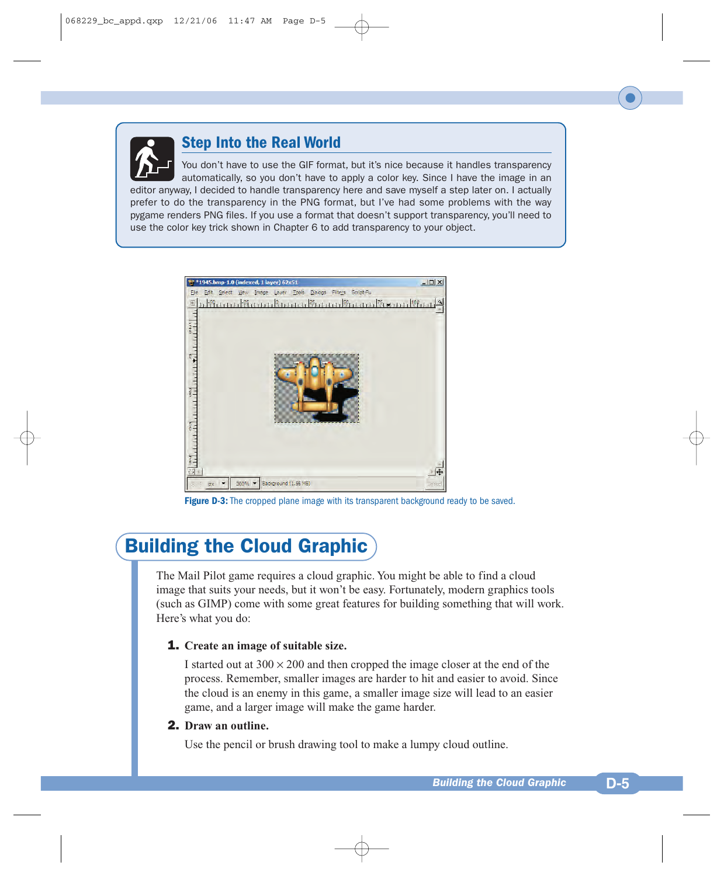

# **Step Into the Real World**

You don't have to use the GIF format, but it's nice because it handles transparency automatically, so you don't have to apply a color key. Since I have the image in an editor anyway, I decided to handle transparency here and save myself a step later on. I actually prefer to do the transparency in the PNG format, but I've had some problems with the way pygame renders PNG files. If you use a format that doesn't support transparency, you'll need to use the color key trick shown in Chapter 6 to add transparency to your object.



**Figure D-3:** The cropped plane image with its transparent background ready to be saved.

# Building the Cloud Graphic

The Mail Pilot game requires a cloud graphic. You might be able to find a cloud image that suits your needs, but it won't be easy. Fortunately, modern graphics tools (such as GIMP) come with some great features for building something that will work. Here's what you do:

#### 1. **Create an image of suitable size.**

I started out at  $300 \times 200$  and then cropped the image closer at the end of the process. Remember, smaller images are harder to hit and easier to avoid. Since the cloud is an enemy in this game, a smaller image size will lead to an easier game, and a larger image will make the game harder.

#### 2. **Draw an outline.**

Use the pencil or brush drawing tool to make a lumpy cloud outline.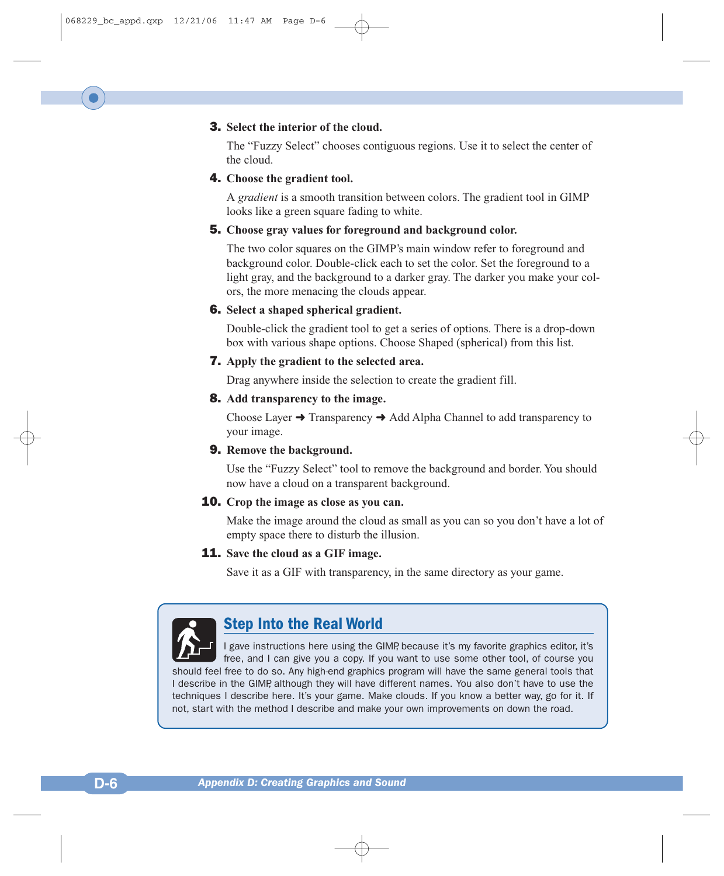#### 3. **Select the interior of the cloud.**

The "Fuzzy Select" chooses contiguous regions. Use it to select the center of the cloud.

#### 4. **Choose the gradient tool.**

A *gradient* is a smooth transition between colors. The gradient tool in GIMP looks like a green square fading to white.

#### 5. **Choose gray values for foreground and background color.**

The two color squares on the GIMP's main window refer to foreground and background color. Double-click each to set the color. Set the foreground to a light gray, and the background to a darker gray. The darker you make your colors, the more menacing the clouds appear.

#### 6. **Select a shaped spherical gradient.**

Double-click the gradient tool to get a series of options. There is a drop-down box with various shape options. Choose Shaped (spherical) from this list.

#### 7. **Apply the gradient to the selected area.**

Drag anywhere inside the selection to create the gradient fill.

#### 8. **Add transparency to the image.**

Choose Layer  $\rightarrow$  Transparency  $\rightarrow$  Add Alpha Channel to add transparency to your image.

#### 9. **Remove the background.**

Use the "Fuzzy Select" tool to remove the background and border. You should now have a cloud on a transparent background.

#### 10. **Crop the image as close as you can.**

Make the image around the cloud as small as you can so you don't have a lot of empty space there to disturb the illusion.

#### 11. **Save the cloud as a GIF image.**

Save it as a GIF with transparency, in the same directory as your game.



## **Step Into the Real World**

I gave instructions here using the GIMP, because it's my favorite graphics editor, it's free, and I can give you a copy. If you want to use some other tool, of course you should feel free to do so. Any high-end graphics program will have the same general tools that I describe in the GIMP, although they will have different names. You also don't have to use the techniques I describe here. It's your game. Make clouds. If you know a better way, go for it. If not, start with the method I describe and make your own improvements on down the road.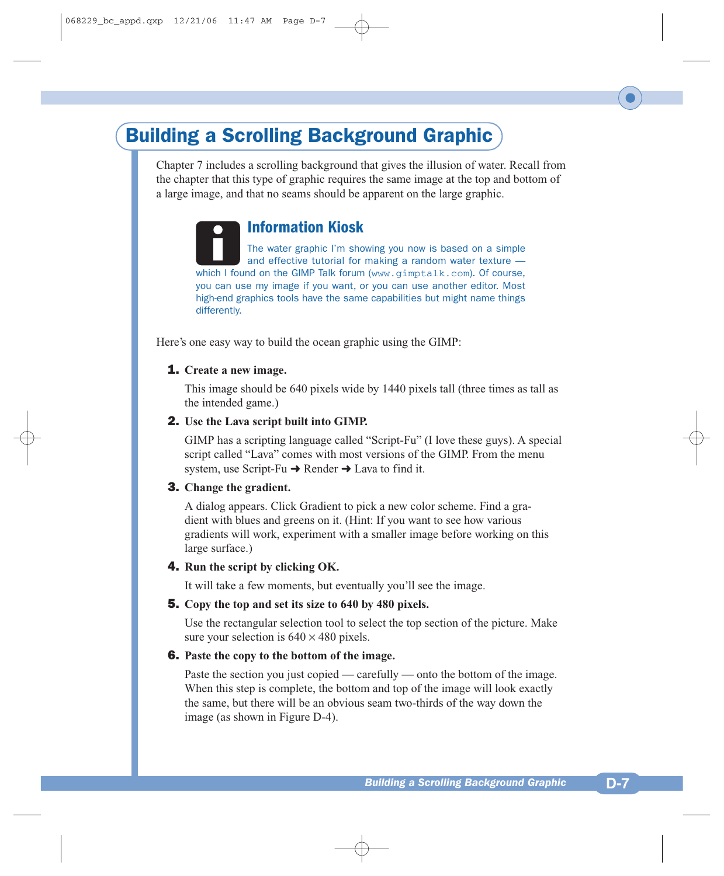# Building a Scrolling Background Graphic

Chapter 7 includes a scrolling background that gives the illusion of water. Recall from the chapter that this type of graphic requires the same image at the top and bottom of a large image, and that no seams should be apparent on the large graphic.

## **Information Kiosk**

The water graphic I'm showing you now is based on a simple and effective tutorial for making a random water texture which I found on the GIMP Talk forum (www.gimptalk.com). Of course, you can use my image if you want, or you can use another editor. Most high-end graphics tools have the same capabilities but might name things differently.

Here's one easy way to build the ocean graphic using the GIMP:

#### 1. **Create a new image.**

This image should be 640 pixels wide by 1440 pixels tall (three times as tall as the intended game.)

#### 2. **Use the Lava script built into GIMP.**

GIMP has a scripting language called "Script-Fu" (I love these guys). A special script called "Lava" comes with most versions of the GIMP. From the menu system, use Script-Fu  $\rightarrow$  Render  $\rightarrow$  Lava to find it.

#### 3. **Change the gradient.**

A dialog appears. Click Gradient to pick a new color scheme. Find a gradient with blues and greens on it. (Hint: If you want to see how various gradients will work, experiment with a smaller image before working on this large surface.)

#### 4. **Run the script by clicking OK.**

It will take a few moments, but eventually you'll see the image.

#### 5. **Copy the top and set its size to 640 by 480 pixels.**

Use the rectangular selection tool to select the top section of the picture. Make sure your selection is  $640 \times 480$  pixels.

#### 6. **Paste the copy to the bottom of the image.**

Paste the section you just copied — carefully — onto the bottom of the image. When this step is complete, the bottom and top of the image will look exactly the same, but there will be an obvious seam two-thirds of the way down the image (as shown in Figure D-4).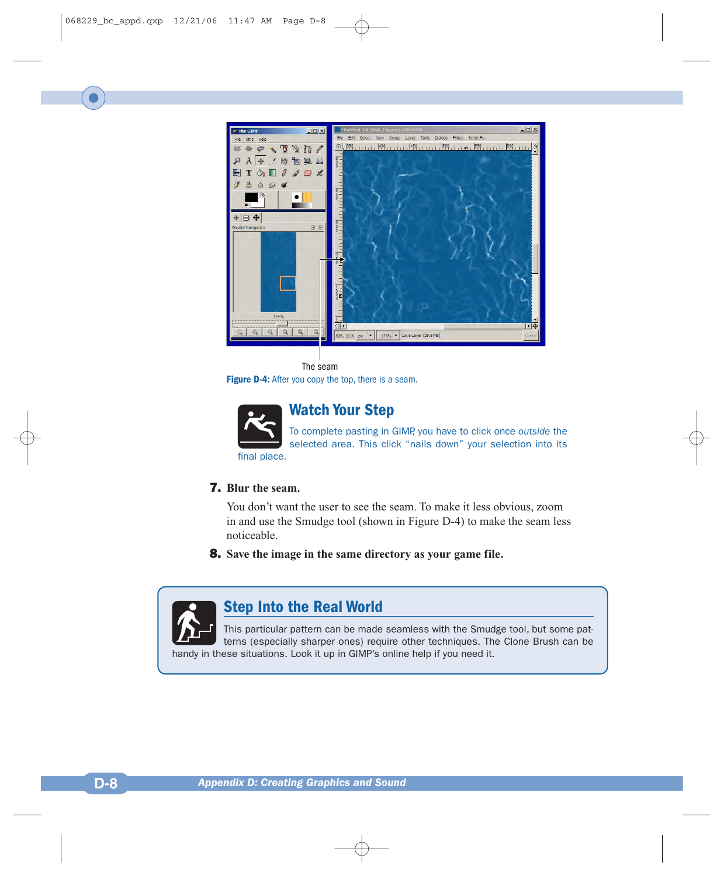

#### The seam

**Figure D-4:** After you copy the top, there is a seam.



## **Watch Your Step**

To complete pasting in GIMP, you have to click once *outside* the selected area. This click "nails down" your selection into its

#### 7. **Blur the seam.**

You don't want the user to see the seam. To make it less obvious, zoom in and use the Smudge tool (shown in Figure D-4) to make the seam less noticeable.

8. **Save the image in the same directory as your game file.**



## **Step Into the Real World**

This particular pattern can be made seamless with the Smudge tool, but some patterns (especially sharper ones) require other techniques. The Clone Brush can be handy in these situations. Look it up in GIMP's online help if you need it.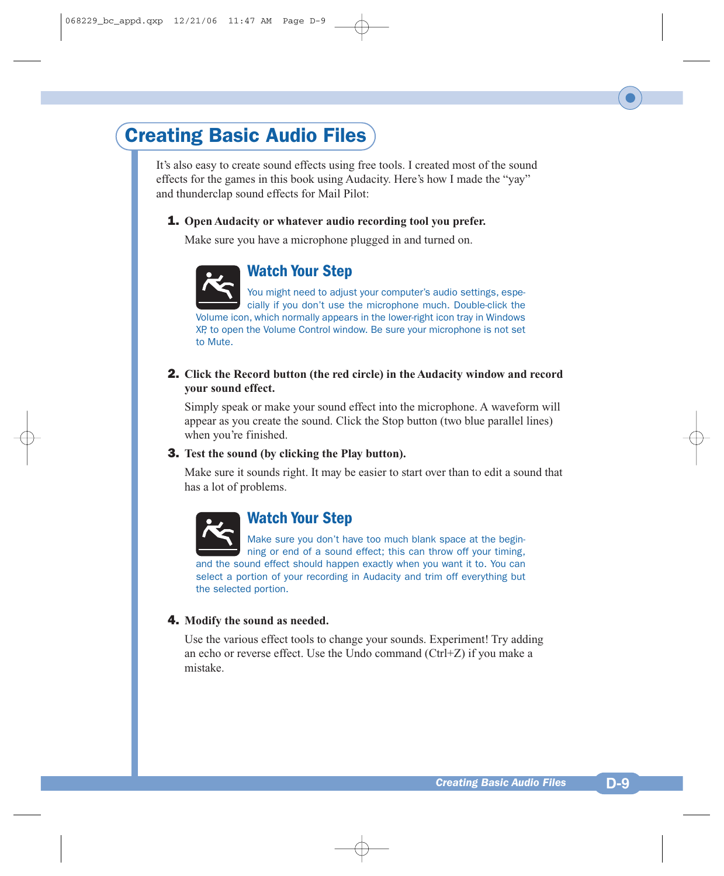# Creating Basic Audio Files

It's also easy to create sound effects using free tools. I created most of the sound effects for the games in this book using Audacity. Here's how I made the "yay" and thunderclap sound effects for Mail Pilot:

#### 1. **Open Audacity or whatever audio recording tool you prefer.**

Make sure you have a microphone plugged in and turned on.



## **Watch Your Step**

You might need to adjust your computer's audio settings, especially if you don't use the microphone much. Double-click the Volume icon, which normally appears in the lower-right icon tray in Windows XP, to open the Volume Control window. Be sure your microphone is not set to Mute.

2. **Click the Record button (the red circle) in the Audacity window and record your sound effect.**

Simply speak or make your sound effect into the microphone. A waveform will appear as you create the sound. Click the Stop button (two blue parallel lines) when you're finished.

#### 3. **Test the sound (by clicking the Play button).**

Make sure it sounds right. It may be easier to start over than to edit a sound that has a lot of problems.



## **Watch Your Step**

Make sure you don't have too much blank space at the beginning or end of a sound effect; this can throw off your timing, and the sound effect should happen exactly when you want it to. You can select a portion of your recording in Audacity and trim off everything but the selected portion.

#### 4. **Modify the sound as needed.**

Use the various effect tools to change your sounds. Experiment! Try adding an echo or reverse effect. Use the Undo command (Ctrl+Z) if you make a mistake.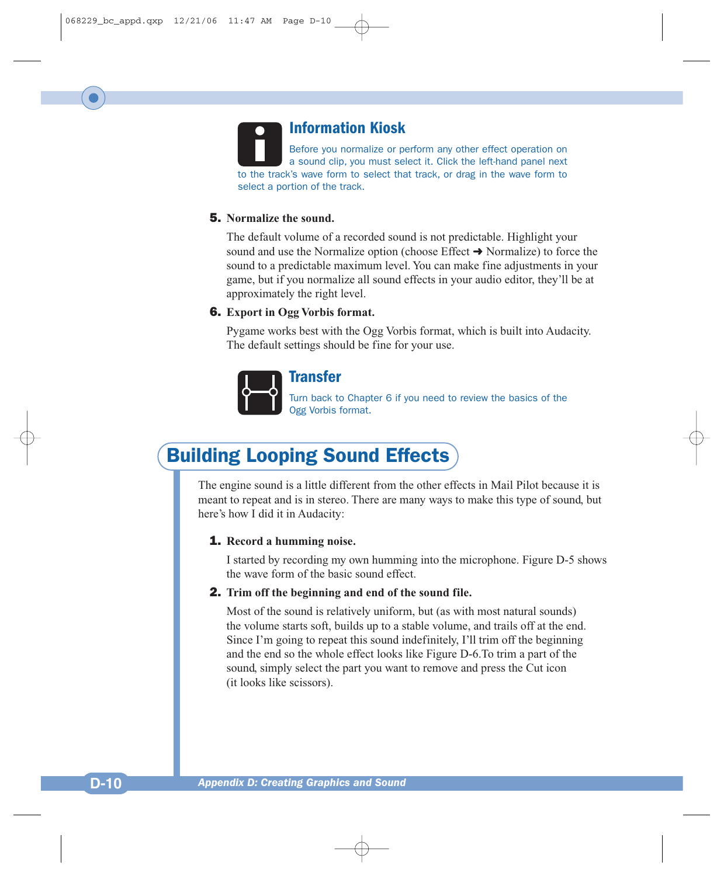# **Information Kiosk**

Before you normalize or perform any other effect operation on a sound clip, you must select it. Click the left-hand panel next to the track's wave form to select that track, or drag in the wave form to select a portion of the track.

#### 5. **Normalize the sound.**

The default volume of a recorded sound is not predictable. Highlight your sound and use the Normalize option (choose Effect  $\rightarrow$  Normalize) to force the sound to a predictable maximum level. You can make fine adjustments in your game, but if you normalize all sound effects in your audio editor, they'll be at approximately the right level.

#### 6. **Export in Ogg Vorbis format.**

Pygame works best with the Ogg Vorbis format, which is built into Audacity. The default settings should be fine for your use.



#### **Transfer**

Turn back to Chapter 6 if you need to review the basics of the Ogg Vorbis format.

# Building Looping Sound Effects

The engine sound is a little different from the other effects in Mail Pilot because it is meant to repeat and is in stereo. There are many ways to make this type of sound, but here's how I did it in Audacity:

#### 1. **Record a humming noise.**

I started by recording my own humming into the microphone. Figure D-5 shows the wave form of the basic sound effect.

#### 2. **Trim off the beginning and end of the sound file.**

Most of the sound is relatively uniform, but (as with most natural sounds) the volume starts soft, builds up to a stable volume, and trails off at the end. Since I'm going to repeat this sound indefinitely, I'll trim off the beginning and the end so the whole effect looks like Figure D-6.To trim a part of the sound, simply select the part you want to remove and press the Cut icon (it looks like scissors).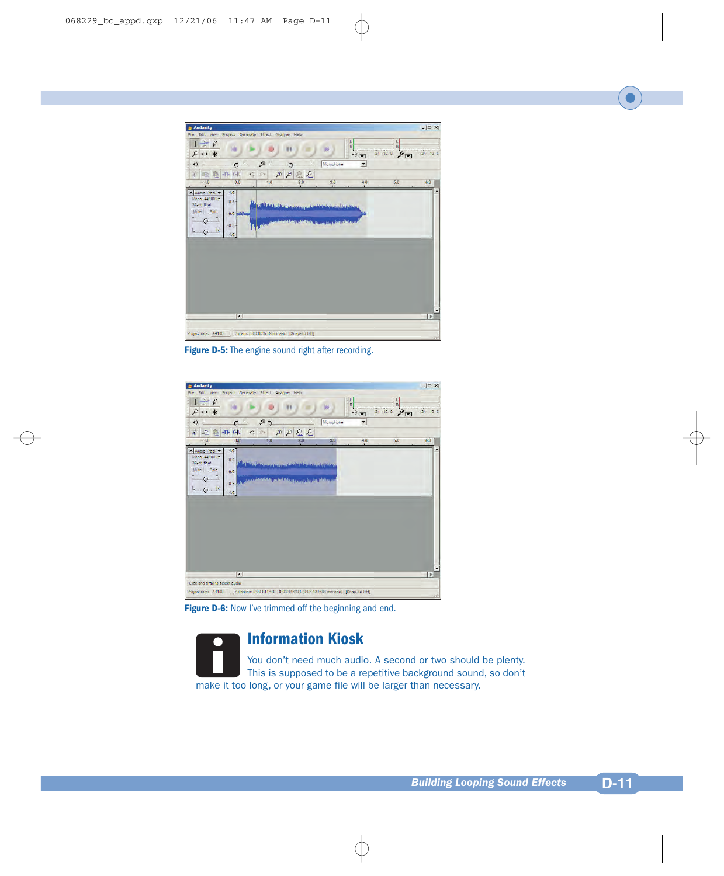

Figure D-5: The engine sound right after recording.

| Effect Analyze Help<br>ш<br>$+$<br>Microphone | $\frac{1}{R}$<br>Ē<br>$\rightarrow$<br>Ŧ                       | $\frac{1}{R}$<br>$24 - 12 = 0$<br>P | $24 - 12 = 0$ |
|-----------------------------------------------|----------------------------------------------------------------|-------------------------------------|---------------|
|                                               |                                                                |                                     |               |
|                                               |                                                                |                                     |               |
|                                               |                                                                |                                     |               |
| 22                                            |                                                                |                                     |               |
| 2.0<br>3.0                                    | 4,0                                                            | $5,0$                               | 6,0           |
| فتتم ووقافا فالمراجع لأبادل ومنقع زلنكاله     |                                                                |                                     |               |
|                                               |                                                                |                                     | $\cdot$<br>×ſ |
|                                               | by solary, because the same specific the specific disputation. |                                     |               |

**Figure D-6:** Now I've trimmed off the beginning and end.

**Information Kiosk**

You don't need much audio. A second or two should be plenty. This is supposed to be a repetitive background sound, so don't make it too long, or your game file will be larger than necessary.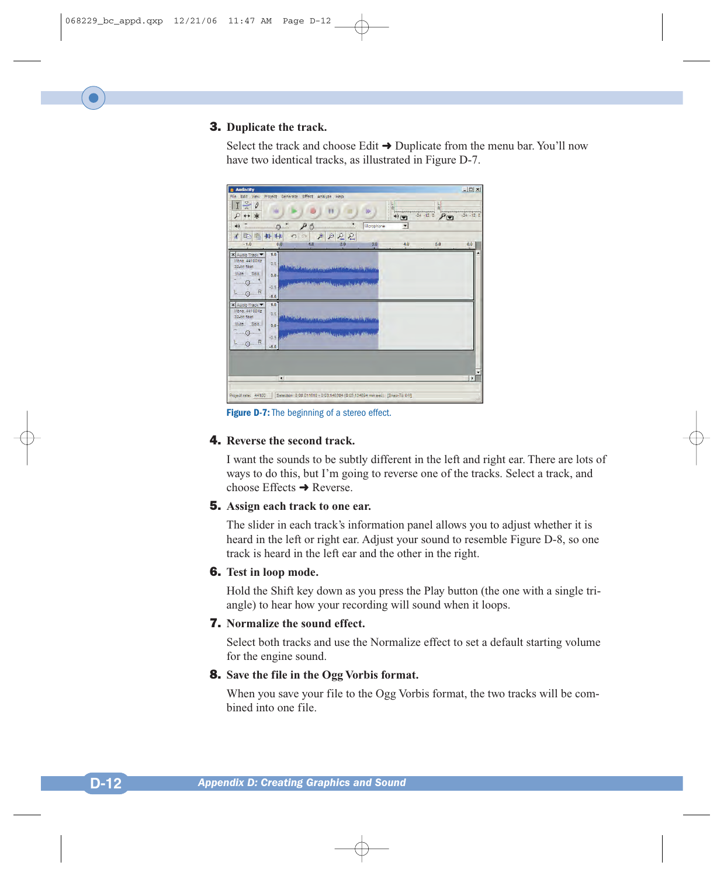#### 3. **Duplicate the track.**

Select the track and choose Edit  $\rightarrow$  Duplicate from the menu bar. You'll now have two identical tracks, as illustrated in Figure D-7.



**Figure D-7:** The beginning of a stereo effect.

#### 4. **Reverse the second track.**

I want the sounds to be subtly different in the left and right ear. There are lots of ways to do this, but I'm going to reverse one of the tracks. Select a track, and choose Effects  $\rightarrow$  Reverse.

#### 5. **Assign each track to one ear.**

The slider in each track's information panel allows you to adjust whether it is heard in the left or right ear. Adjust your sound to resemble Figure D-8, so one track is heard in the left ear and the other in the right.

#### 6. **Test in loop mode.**

Hold the Shift key down as you press the Play button (the one with a single triangle) to hear how your recording will sound when it loops.

#### 7. **Normalize the sound effect.**

Select both tracks and use the Normalize effect to set a default starting volume for the engine sound.

#### 8. **Save the file in the Ogg Vorbis format.**

When you save your file to the Ogg Vorbis format, the two tracks will be combined into one file.